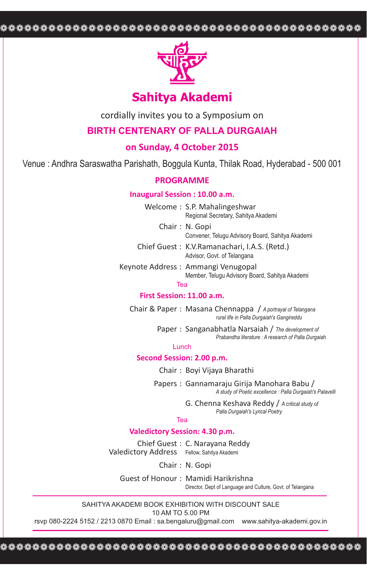❁❁❁❁❁❁❁❁❁❁❁❁❁❁❁❁❁❁❁❁❁❁❁❁❁❁❁❁❁❁❁❁❁❁❁❁❁❁❁❁❁❁❁❁❁



# **Sahitya Akademi**

cordially invites you to a Symposium on

## **BIRTH CENTENARY OF PALLA DURGAIAH**

## **on Sunday, 4 October 2015**

Venue : Andhra Saraswatha Parishath, Boggula Kunta, Thilak Road, Hyderabad - 500 001

### **PROGRAMME**

### **Inaugural Session : 10.00 a.m.**

Welcome : S.P. Mahalingeshwar Regional Secretary, Sahitya Akademi

Chair : N. Gopi

Convener, Telugu Advisory Board, Sahitya Akademi Chief Guest : K.V.Ramanachari, I.A.S. (Retd.)

Advisor, Govt. of Telangana

Keynote Address : Ammangi Venugopal Member, Telugu Advisory Board, Sahitya Akademi

Tea

## **First Session: 11.00 a.m.**

Chair & Paper : Masana Chennappa / *A portrayal of Telangana rural life in Palla Durgaiah's Gangireddu*

> Paper : Sanganabhatla Narsaiah / *The development of Prabandha literature : A research of Palla Durgaiah*

#### Lunch

### **Second Session: 2.00 p.m.**

Chair : Boyi Vijaya Bharathi

Papers : Gannamaraju Girija Manohara Babu / *A study of Poetic excellence : Palla Durgaiah's Palavelli*

> G. Chenna Keshava Reddy / *A critical study of Palla Durgaiah's Lyrical Poetry*

### Tea

### **Valedictory Session: 4.30 p.m.**

Chief Guest : C. Narayana Reddy Valedictory Address Fellow, Sahitya Akademi

Chair : N. Gopi

Guest of Honour : Mamidi Harikrishna Director, Dept of Language and Culture, Govt. of Telangana

SAHITYA AKADEMI BOOK EXHIBITION WITH DISCOUNT SALE

10 AM TO 5.00 PM

rsvp 080-2224 5152 / 2213 0870 Email : sa.bengaluru@gmail.com www.sahitya-akademi.gov.in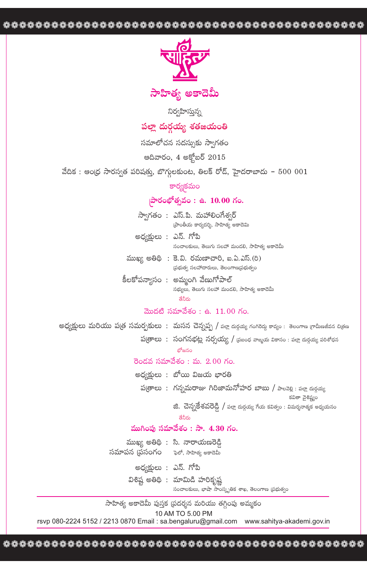

నిర్వహిస్తున్న

# పల్లా దుర్గయ్య శతజయంతి

సమాలోచన సదస్సుకు స్వాగతం

అదివారం, 4 అక్టోబర్ 2015

వేదిక : ఆంధ్ర సారస్వత పరిషత్తు, బొగ్గులకుంట, తిలక్ రోడ్, హైదరాబాదు –  $5000001$ 

#### కార్యకమం

## సారంభోత్సవం: ఉ. 10.00 గం.

- స్వాగతం : ఎస్.పి. మహాలింగేశ్వర్ ప్రాంతీయ కార్యదర్శి, సాహిత్య అకాదెమి
- అధ్యక్షులు : ఎస్. గోపి సంచాలకులు, తెలుగు సలహా మండలి, సాహిత్య అకాదెమీ
- $\frac{1}{2}$ ముఖ్య అతిథి: కె.వి. రమణాచారి, ఐ.ఏ.ఎస్.(రి) ప్రభుత్వ సలహాదారులు, తెలంగాణ(పభుత్వం
- కీలకోపన్యాసం : అమ్మంగి వేణుగోపాల్ సభ్యులు, తెలుగు సలహా మండలి, సాహిత్య అకాదెమీ శేవీగు

### మొదటి సమావేశం: ఉ.  $11.00$  గం.

అధ్యక్షులు మరియు ప(త సమర్చకులు : మసన చెన్నప్ప / పల్ల దుక్షయ్య గంగిరెద్దు కావ్యం : తెలంగాణ గ్రామీణజీవన చిత్రణ

 $\mathfrak{B}$ తాలు: సంగనభట్ల నర్సయ్య /  $\mathfrak{g}$  బంధ వాఙ్మయ వికాసం: పల్లా దుర్గయ్య పరిశోధన

బోజనం

#### రెండవ సమావేశం: మ.  $2.00$  గం.

- అధ్యక్షులు : బోయి విజయ భారతి
	- ప(తాలు : గన్నమరాజు గిరిజామనోహర బాబు / పాలవెల్లి : పల్లా దుర్గయ్య కవితా వైశిష్ట్యం
		- జి. చెన్నకేశవరెడ్డి / పల్లా దుర్గయ్య గేయ కవిత్వం : విమర్శనాత్మక అధ్యయనం

### ముగింపు సమావేశం : సా. 4.30 గం.

ముఖ్య అతిథి : సి. నారాయణరెడ్డి సమాపన (పసంగం - ఫెలో, సాహిత్య అకాదెమీ

- అధ్యక్షులు : ఎన్. గోపి
- విశిష్ట అతిథి : మామిడి హరికృష్ణ సంచాలకులు, భాషా సాంస్కృతిక శాఖ, తెలంగాణ (పభుత్వం

సాహిత్య అకాదెమీ పుస్తక (పదర్శన మరియు తగ్గింపు అమ్మకం

10 AM TO 5.00 PM

rsvp 080-2224 5152 / 2213 0870 Email: sa.bengaluru@gmail.com www.sahitya-akademi.gov.in